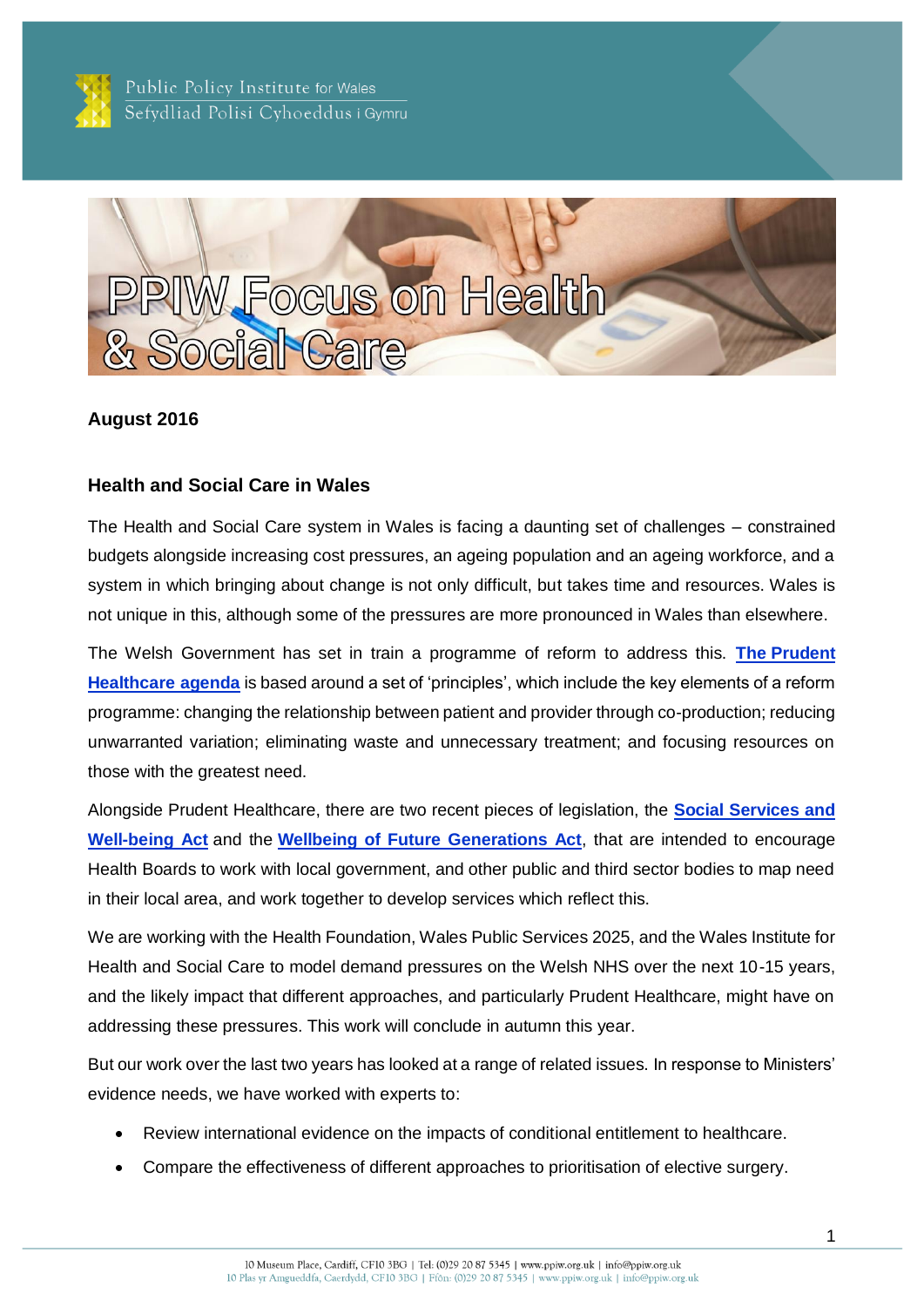

Public Policy Institute for Wales Sefydliad Polisi Cyhoeddus i Gymru



### **August 2016**

#### **Health and Social Care in Wales**

The Health and Social Care system in Wales is facing a daunting set of challenges – constrained budgets alongside increasing cost pressures, an ageing population and an ageing workforce, and a system in which bringing about change is not only difficult, but takes time and resources. Wales is not unique in this, although some of the pressures are more pronounced in Wales than elsewhere.

The Welsh Government has set in train a programme of reform to address this. **The [Prudent](http://www.prudenthealthcare.org.uk/wp-content/uploads/2016/02/Securing-Health-and-Wellbeing-for-Future-Generations1.pdf)  [Healthcare](http://www.prudenthealthcare.org.uk/wp-content/uploads/2016/02/Securing-Health-and-Wellbeing-for-Future-Generations1.pdf) agenda** is based around a set of 'principles', which include the key elements of a reform programme: changing the relationship between patient and provider through co-production; reducing unwarranted variation; eliminating waste and unnecessary treatment; and focusing resources on those with the greatest need.

Alongside Prudent Healthcare, there are two recent pieces of legislation, the **[Social Services and](http://gov.wales/topics/health/socialcare/act/?lang=en)  [Well-being Act](http://gov.wales/topics/health/socialcare/act/?lang=en)** and the **[Wellbeing of Future Generations Act](http://gov.wales/topics/people-and-communities/people/future-generations-act/?lang=en)**, that are intended to encourage Health Boards to work with local government, and other public and third sector bodies to map need in their local area, and work together to develop services which reflect this.

We are working with the Health Foundation, Wales Public Services 2025, and the Wales Institute for Health and Social Care to model demand pressures on the Welsh NHS over the next 10-15 years, and the likely impact that different approaches, and particularly Prudent Healthcare, might have on addressing these pressures. This work will conclude in autumn this year.

But our work over the last two years has looked at a range of related issues. In response to Ministers' evidence needs, we have worked with experts to:

- Review international evidence on the impacts of conditional entitlement to healthcare.
- Compare the effectiveness of different approaches to prioritisation of elective surgery.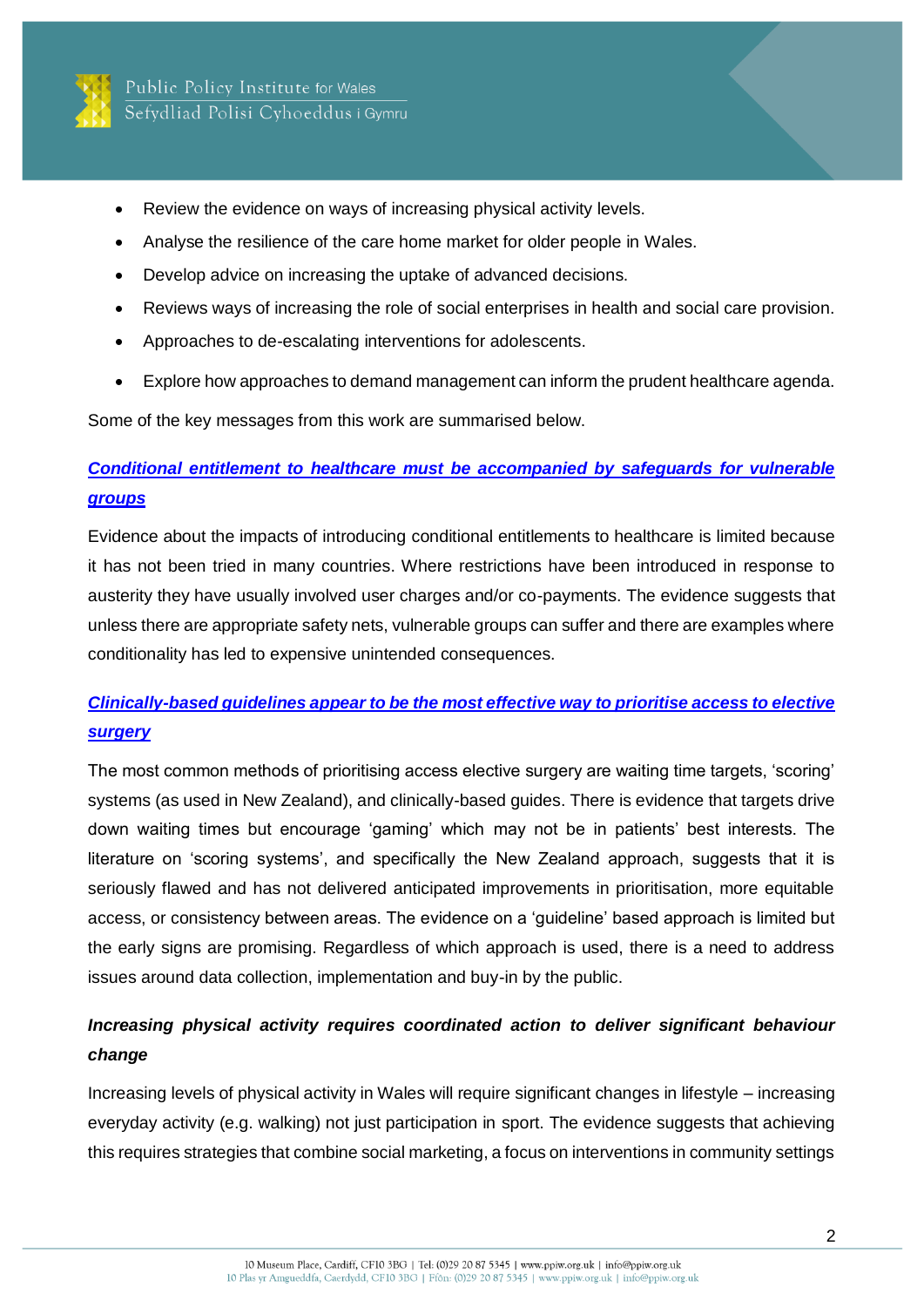

- Review the evidence on ways of increasing physical activity levels.
- Analyse the resilience of the care home market for older people in Wales.
- Develop advice on increasing the uptake of advanced decisions.
- Reviews ways of increasing the role of social enterprises in health and social care provision.
- Approaches to de-escalating interventions for adolescents.
- Explore how approaches to demand management can inform the prudent healthcare agenda.

Some of the key messages from this work are summarised below.

# *[Conditional entitlement to healthcare must be accompanied by safeguards for vulnerable](http://ppiw.org.uk/files/2015/08/Conditional-Entitlement-Report.pdf)  [groups](http://ppiw.org.uk/files/2015/08/Conditional-Entitlement-Report.pdf)*

Evidence about the impacts of introducing conditional entitlements to healthcare is limited because it has not been tried in many countries. Where restrictions have been introduced in response to austerity they have usually involved user charges and/or co-payments. The evidence suggests that unless there are appropriate safety nets, vulnerable groups can suffer and there are examples where conditionality has led to expensive unintended consequences.

# *[Clinically-based guidelines appear to be the most effective way to prioritise access to elective](http://ppiw.org.uk/files/2015/06/Elective-Surgery-Report.pdf)  [surgery](http://ppiw.org.uk/files/2015/06/Elective-Surgery-Report.pdf)*

The most common methods of prioritising access elective surgery are waiting time targets, 'scoring' systems (as used in New Zealand), and clinically-based guides. There is evidence that targets drive down waiting times but encourage 'gaming' which may not be in patients' best interests. The literature on 'scoring systems', and specifically the New Zealand approach, suggests that it is seriously flawed and has not delivered anticipated improvements in prioritisation, more equitable access, or consistency between areas. The evidence on a 'guideline' based approach is limited but the early signs are promising. Regardless of which approach is used, there is a need to address issues around data collection, implementation and buy-in by the public.

# *Increasing physical activity requires coordinated action to deliver significant behaviour change*

Increasing levels of physical activity in Wales will require significant changes in lifestyle – increasing everyday activity (e.g. walking) not just participation in sport. The evidence suggests that achieving this requires strategies that combine social marketing, a focus on interventions in community settings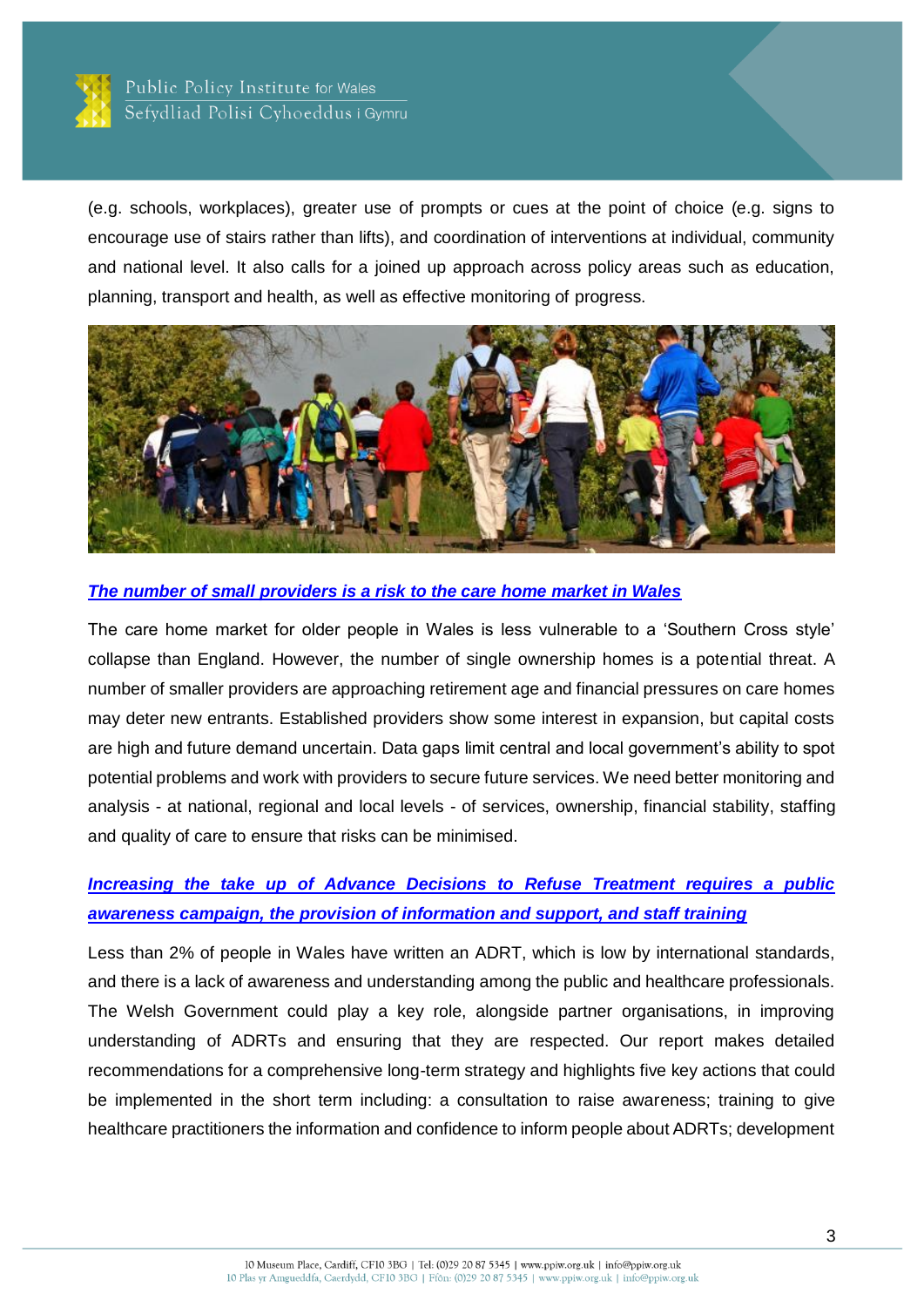

(e.g. schools, workplaces), greater use of prompts or cues at the point of choice (e.g. signs to encourage use of stairs rather than lifts), and coordination of interventions at individual, community and national level. It also calls for a joined up approach across policy areas such as education, planning, transport and health, as well as effective monitoring of progress.



### *[The number of small providers is a risk to the care home market in Wales](http://ppiw.org.uk/files/2015/11/The-Care-Home-Market-in-Wales-mapping-the-sector.pdf)*

The care home market for older people in Wales is less vulnerable to a 'Southern Cross style' collapse than England. However, the number of single ownership homes is a potential threat. A number of smaller providers are approaching retirement age and financial pressures on care homes may deter new entrants. Established providers show some interest in expansion, but capital costs are high and future demand uncertain. Data gaps limit central and local government's ability to spot potential problems and work with providers to secure future services. We need better monitoring and analysis - at national, regional and local levels - of services, ownership, financial stability, staffing and quality of care to ensure that risks can be minimised.

### *[Increasing the take up of Advance Decisions to Refuse Treatment requires a public](http://ppiw.org.uk/files/2016/02/PPIW-Report-Increasing-the-awareness-and-uptake-of-Advance-Decisions.pdf)  [awareness campaign, the provision of information and support, and staff training](http://ppiw.org.uk/files/2016/02/PPIW-Report-Increasing-the-awareness-and-uptake-of-Advance-Decisions.pdf)*

Less than 2% of people in Wales have written an ADRT, which is low by international standards, and there is a lack of awareness and understanding among the public and healthcare professionals. The Welsh Government could play a key role, alongside partner organisations, in improving understanding of ADRTs and ensuring that they are respected. Our report makes detailed recommendations for a comprehensive long-term strategy and highlights five key actions that could be implemented in the short term including: a consultation to raise awareness; training to give healthcare practitioners the information and confidence to inform people about ADRTs; development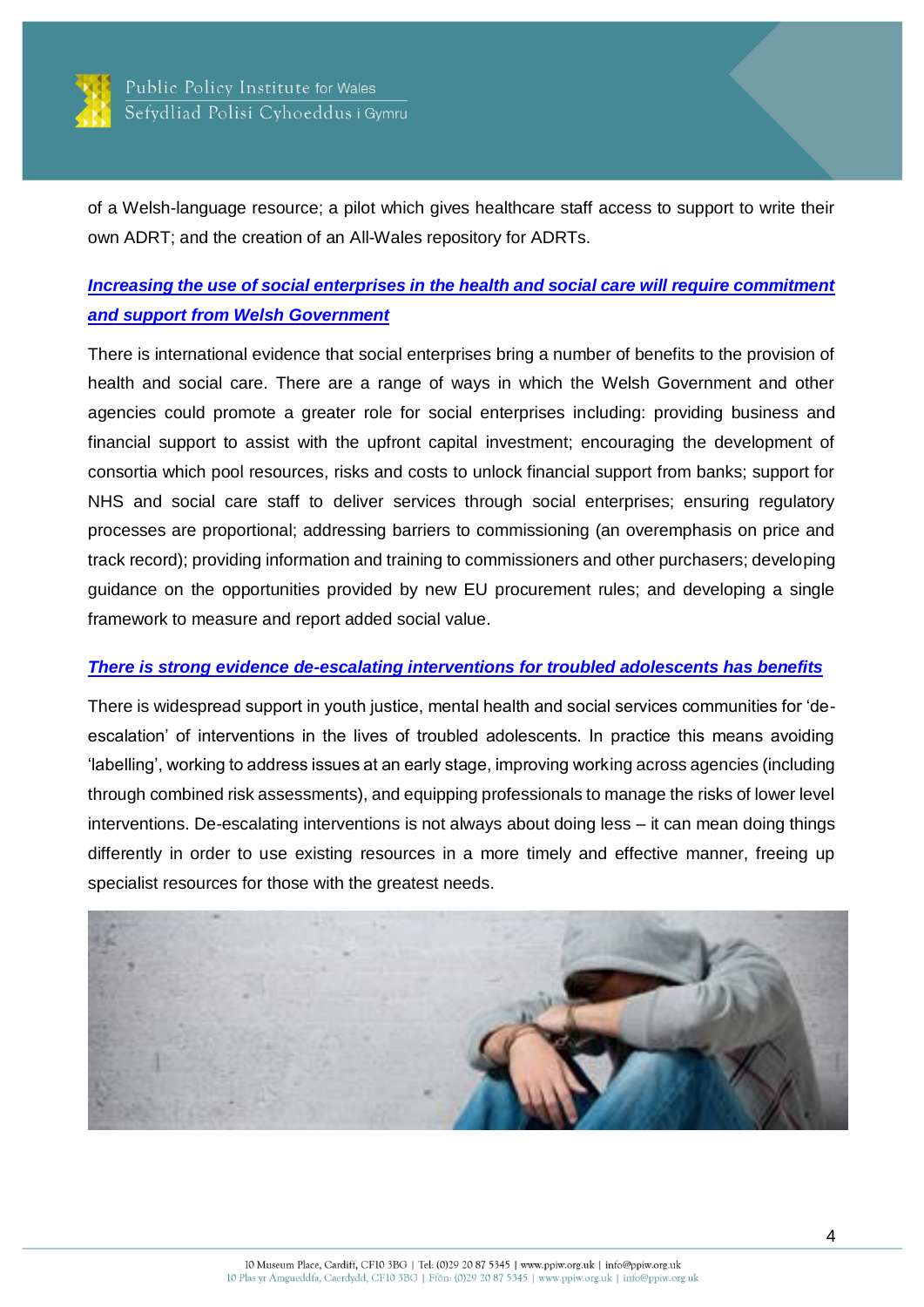

of a Welsh-language resource; a pilot which gives healthcare staff access to support to write their own ADRT; and the creation of an All-Wales repository for ADRTs.

### *[Increasing the use of social enterprises in the health and social care will require commitment](http://ppiw.org.uk/files/2016/06/Social-Business-Models-in-health-and-social-care.pdf)  [and support from Welsh Government](http://ppiw.org.uk/files/2016/06/Social-Business-Models-in-health-and-social-care.pdf)*

There is international evidence that social enterprises bring a number of benefits to the provision of health and social care. There are a range of ways in which the Welsh Government and other agencies could promote a greater role for social enterprises including: providing business and financial support to assist with the upfront capital investment; encouraging the development of consortia which pool resources, risks and costs to unlock financial support from banks; support for NHS and social care staff to deliver services through social enterprises; ensuring regulatory processes are proportional; addressing barriers to commissioning (an overemphasis on price and track record); providing information and training to commissioners and other purchasers; developing guidance on the opportunities provided by new EU procurement rules; and developing a single framework to measure and report added social value.

#### *[There is strong evidence de-escalating interventions for troubled adolescents has benefits](http://ppiw.org.uk/files/2016/05/PPIW-Report-De-escalating-Interventions-for-Troubled-Adolescents.pdf)*

There is widespread support in youth justice, mental health and social services communities for 'deescalation' of interventions in the lives of troubled adolescents. In practice this means avoiding 'labelling', working to address issues at an early stage, improving working across agencies (including through combined risk assessments), and equipping professionals to manage the risks of lower level interventions. De-escalating interventions is not always about doing less – it can mean doing things differently in order to use existing resources in a more timely and effective manner, freeing up specialist resources for those with the greatest needs.